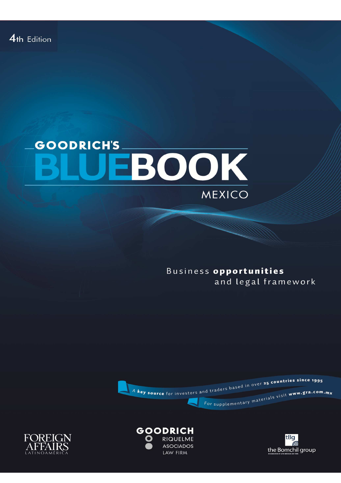## **GOODRICH'S** EBOOK MEXICO

Business opportunities and legal framework







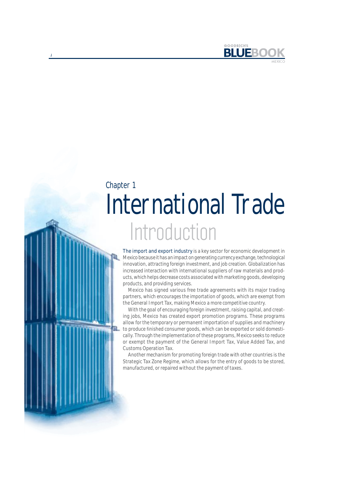

# **Introduction** International Trade Chapter 1

The import and export industry is a key sector for economic development in Mexico because it has an impact on generating currency exchange, technological innovation, attracting foreign investment, and job creation. Globalization has increased interaction with international suppliers of raw materials and products, which helps decrease costs associated with marketing goods, developing products, and providing services.

Mexico has signed various free trade agreements with its major trading partners, which encourages the importation of goods, which are exempt from the General Import Tax, making Mexico a more competitive country.

With the goal of encouraging foreign investment, raising capital, and creating jobs, Mexico has created export promotion programs. These programs allow for the temporary or permanent importation of supplies and machinery to produce finished consumer goods, which can be exported or sold domestically. Through the implementation of these programs, Mexico seeks to reduce or exempt the payment of the General Import Tax, Value Added Tax, and Customs Operation Tax.

Another mechanism for promoting foreign trade with other countries is the Strategic Tax Zone Regime, which allows for the entry of goods to be stored, manufactured, or repaired without the payment of taxes.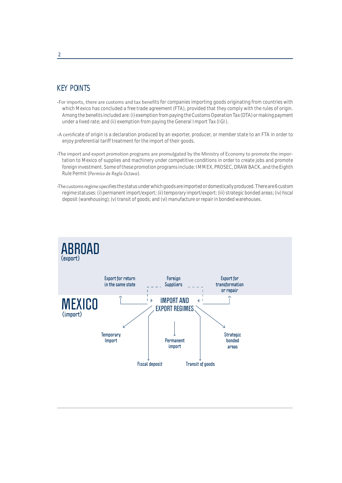## KEY POINTS

- -For imports, there are customs and tax benefits for companies importing goods originating from countries with which Mexico has concluded a free trade agreement (FTA), provided that they comply with the rules of origin. Among the benefits included are: (i) exemption from paying the Customs Operation Tax (DTA) or making payment under a fixed rate; and (ii) exemption from paying the General Import Tax (IGI).
- A certificate of origin is a declaration produced by an exporter, producer, or member state to an FTA in order to enjoy preferential tariff treatment for the import of their goods.
- The import and export promotion programs are promulgated by the Ministry of Economy to promote the importation to Mexico of supplies and machinery under competitive conditions in order to create jobs and promote foreign investment. Some of these promotion programs include: IMMEX, PROSEC, DRAW BACK, and the Eighth Rule Permit (*Permiso de Regla Octava*).
- The customs regime specifies the status under which goods are imported or domestically produced. There are 6 custom regime statuses: (i) permanent import/export; (ii) temporary import/export; (iii) strategic bonded areas; (iv) fiscal deposit (warehousing); (v) transit of goods; and (vi) manufacture or repair in bonded warehouses.

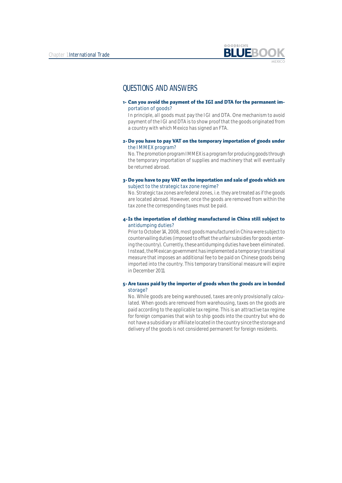

### QUESTIONS AND ANSWERS

1. Can you avoid the payment of the IGI and DTA for the permanent importation of goods?

In principle, all goods must pay the IGI and DTA. One mechanism to avoid payment of the IGI and DTA is to show proof that the goods originated from a country with which Mexico has signed an FTA.

2- Do you have to pay VAT on the temporary importation of goods under the IMMEX program?

No. The promotion program IMMEX is a program for producing goods through the temporary importation of supplies and machinery that will eventually be returned abroad.

3 Do you have to pay VAT on the importation and sale of goods which are subject to the strategic tax zone regime?

No. Strategic tax zones are federal zones, i.e. they are treated as if the goods are located abroad. However, once the goods are removed from within the tax zone the corresponding taxes must be paid.

#### 4 Is the importation of clothing manufactured in China still subject to antidumping duties?

Prior to October 14, 2008, most goods manufactured in China were subject to countervailing duties (imposed to offset the unfair subsidies for goods entering the country). Currently, these antidumping duties have been eliminated. Instead, the Mexican government has implemented a temporary transitional measure that imposes an additional fee to be paid on Chinese goods being imported into the country. This temporary transitional measure will expire in December 2011.

#### 5 Are taxes paid by the importer of goods when the goods are in bonded storage?

No. While goods are being warehoused, taxes are only provisionally calculated. When goods are removed from warehousing, taxes on the goods are paid according to the applicable tax regime. This is an attractive tax regime for foreign companies that wish to ship goods into the country but who do not have a subsidiary or affiliate located in the country since the storage and delivery of the goods is not considered permanent for foreign residents.